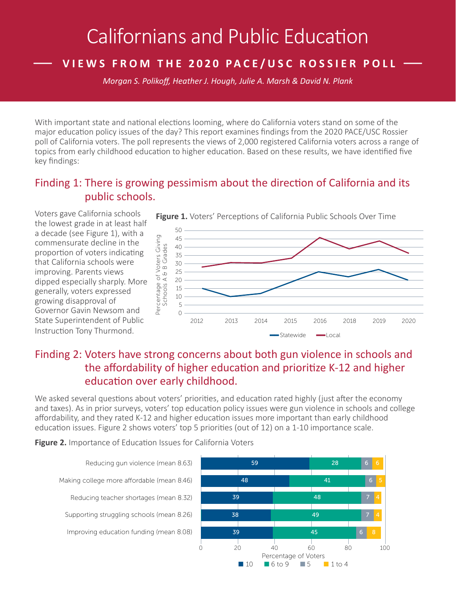# Californians and Public Education

## **— VIEWS FROM THE 2020 PACE/USC ROSSIER POLL —**

*Morgan S. Polikoff, Heather J. Hough, Julie A. Marsh & David N. Plank*

With important state and national elections looming, where do California voters stand on some of the major education policy issues of the day? This report examines findings from the 2020 PACE/USC Rossier poll of California voters. The poll represents the views of 2,000 registered California voters across a range of topics from early childhood education to higher education. Based on these results, we have identified five key findings:

#### Finding 1: There is growing pessimism about the direction of California and its public schools.

Voters gave California schools the lowest grade in at least half a decade (see Figure 1), with a commensurate decline in the proportion of voters indicating that California schools were improving. Parents views dipped especially sharply. More generally, voters expressed growing disapproval of Governor Gavin Newsom and State Superintendent of Public Instruction Tony Thurmond.



## Finding 2: Voters have strong concerns about both gun violence in schools and the affordability of higher education and prioritize K-12 and higher education over early childhood.

We asked several questions about voters' priorities, and education rated highly (just after the economy and taxes). As in prior surveys, voters' top education policy issues were gun violence in schools and college affordability, and they rated K-12 and higher education issues more important than early childhood education issues. Figure 2 shows voters' top 5 priorities (out of 12) on a 1-10 importance scale.

**Figure 2.** Importance of Education Issues for California Voters